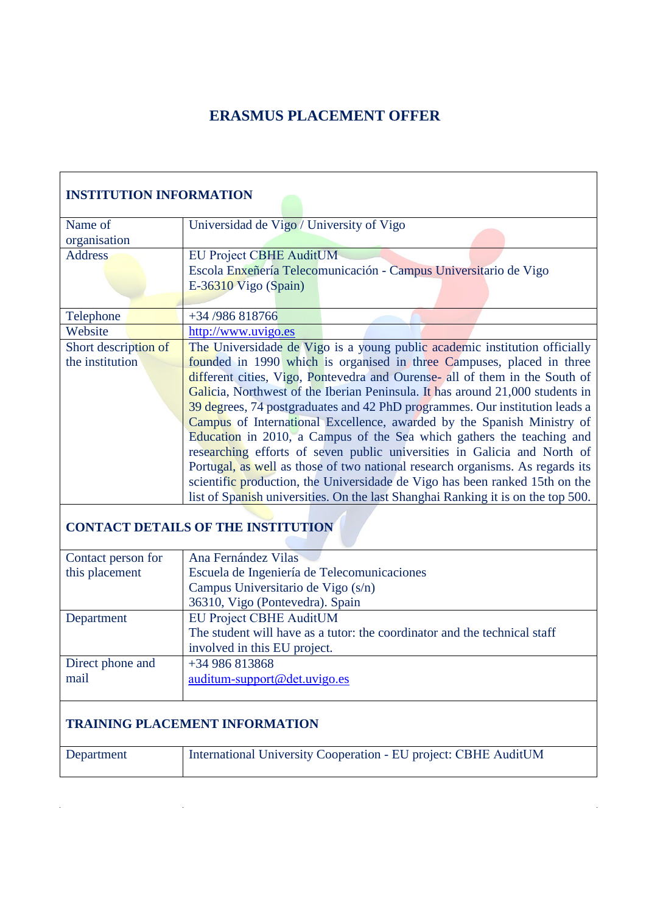## **ERASMUS PLACEMENT OFFER**

| <b>INSTITUTION INFORMATION</b>        |                                                                                  |  |  |  |  |
|---------------------------------------|----------------------------------------------------------------------------------|--|--|--|--|
| Name of                               | Universidad de Vigo / University of Vigo                                         |  |  |  |  |
| organisation                          |                                                                                  |  |  |  |  |
| <b>Address</b>                        | <b>EU Project CBHE AuditUM</b>                                                   |  |  |  |  |
|                                       | Escola Enxeñería Telecomunicación - Campus Universitario de Vigo                 |  |  |  |  |
|                                       | $E-36310$ Vigo (Spain)                                                           |  |  |  |  |
|                                       |                                                                                  |  |  |  |  |
| Telephone                             | +34 /986 818766                                                                  |  |  |  |  |
| Website                               | http://www.uvigo.es                                                              |  |  |  |  |
| Short description of                  | The Universidade de Vigo is a young public academic institution officially       |  |  |  |  |
| the institution                       | founded in 1990 which is organised in three Campuses, placed in three            |  |  |  |  |
|                                       | different cities, Vigo, Pontevedra and Ourense- all of them in the South of      |  |  |  |  |
|                                       | Galicia, Northwest of the Iberian Peninsula. It has around 21,000 students in    |  |  |  |  |
|                                       | 39 degrees, 74 postgraduates and 42 PhD programmes. Our institution leads a      |  |  |  |  |
|                                       | Campus of International Excellence, awarded by the Spanish Ministry of           |  |  |  |  |
|                                       | Education in 2010, a Campus of the Sea which gathers the teaching and            |  |  |  |  |
|                                       | researching efforts of seven public universities in Galicia and North of         |  |  |  |  |
|                                       | Portugal, as well as those of two national research organisms. As regards its    |  |  |  |  |
|                                       | scientific production, the Universidade de Vigo has been ranked 15th on the      |  |  |  |  |
|                                       | list of Spanish universities. On the last Shanghai Ranking it is on the top 500. |  |  |  |  |
|                                       | <b>CONTACT DETAILS OF THE INSTITUTION</b>                                        |  |  |  |  |
| Contact person for                    | Ana Fernández Vilas                                                              |  |  |  |  |
| this placement                        | Escuela de Ingeniería de Telecomunicaciones                                      |  |  |  |  |
|                                       | Campus Universitario de Vigo (s/n)                                               |  |  |  |  |
|                                       | 36310, Vigo (Pontevedra). Spain                                                  |  |  |  |  |
| Department                            | <b>EU Project CBHE AuditUM</b>                                                   |  |  |  |  |
|                                       | The student will have as a tutor: the coordinator and the technical staff        |  |  |  |  |
|                                       | involved in this EU project.                                                     |  |  |  |  |
| Direct phone and                      | +34 986 813868                                                                   |  |  |  |  |
| mail                                  | auditum-support@det.uvigo.es                                                     |  |  |  |  |
|                                       |                                                                                  |  |  |  |  |
| <b>TRAINING PLACEMENT INFORMATION</b> |                                                                                  |  |  |  |  |
| Department                            | International University Cooperation - EU project: CBHE AuditUM                  |  |  |  |  |

 $\hat{\mathcal{A}}$